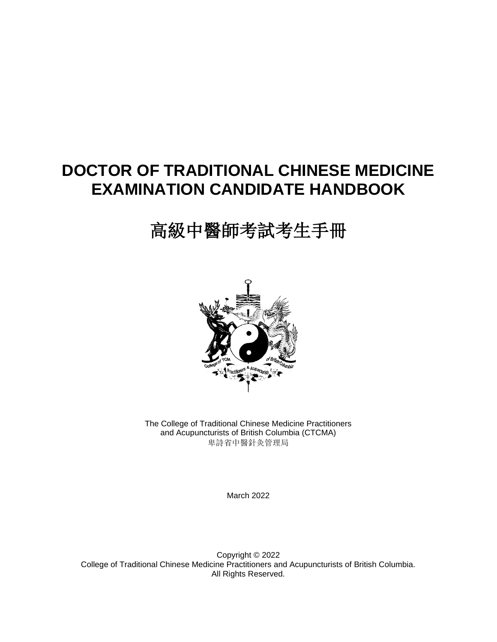## **DOCTOR OF TRADITIONAL CHINESE MEDICINE EXAMINATION CANDIDATE HANDBOOK**

# 高級中醫師考試考生手冊



The College of Traditional Chinese Medicine Practitioners and Acupuncturists of British Columbia (CTCMA) 卑詩省中醫針灸管理局

March 2022

Copyright © 2022 College of Traditional Chinese Medicine Practitioners and Acupuncturists of British Columbia. All Rights Reserved.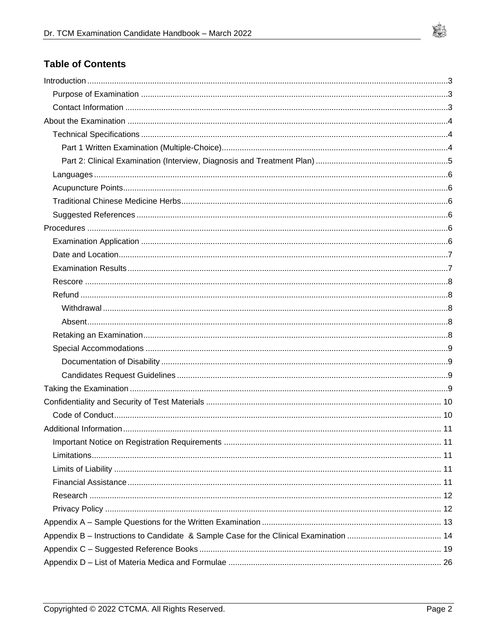

## **Table of Contents**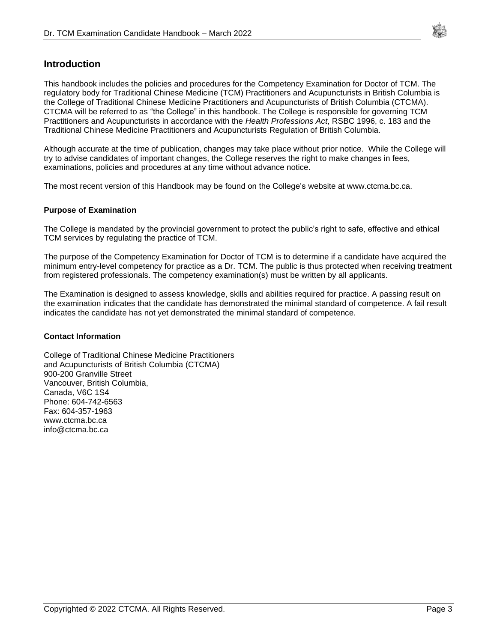

### <span id="page-2-0"></span>**Introduction**

This handbook includes the policies and procedures for the Competency Examination for Doctor of TCM. The regulatory body for Traditional Chinese Medicine (TCM) Practitioners and Acupuncturists in British Columbia is the College of Traditional Chinese Medicine Practitioners and Acupuncturists of British Columbia (CTCMA). CTCMA will be referred to as "the College" in this handbook. The College is responsible for governing TCM Practitioners and Acupuncturists in accordance with the *Health Professions Act*, RSBC 1996, c. 183 and the Traditional Chinese Medicine Practitioners and Acupuncturists Regulation of British Columbia.

Although accurate at the time of publication, changes may take place without prior notice. While the College will try to advise candidates of important changes, the College reserves the right to make changes in fees, examinations, policies and procedures at any time without advance notice.

<span id="page-2-1"></span>The most recent version of this Handbook may be found on the College's website at www.ctcma.bc.ca.

#### **Purpose of Examination**

The College is mandated by the provincial government to protect the public's right to safe, effective and ethical TCM services by regulating the practice of TCM.

The purpose of the Competency Examination for Doctor of TCM is to determine if a candidate have acquired the minimum entry-level competency for practice as a Dr. TCM. The public is thus protected when receiving treatment from registered professionals. The competency examination(s) must be written by all applicants.

The Examination is designed to assess knowledge, skills and abilities required for practice. A passing result on the examination indicates that the candidate has demonstrated the minimal standard of competence. A fail result indicates the candidate has not yet demonstrated the minimal standard of competence.

#### <span id="page-2-2"></span>**Contact Information**

College of Traditional Chinese Medicine Practitioners and Acupuncturists of British Columbia (CTCMA) 900-200 Granville Street Vancouver, British Columbia, Canada, V6C 1S4 Phone: 604-742-6563 Fax: 604-357-1963 www.ctcma.bc.ca info@ctcma.bc.ca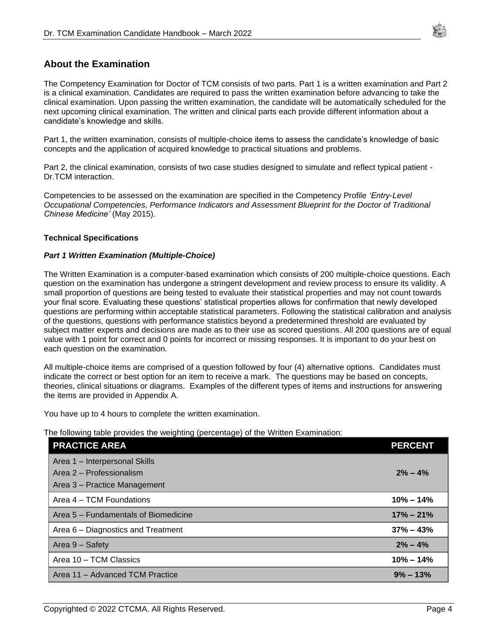

### <span id="page-3-0"></span>**About the Examination**

The Competency Examination for Doctor of TCM consists of two parts. Part 1 is a written examination and Part 2 is a clinical examination. Candidates are required to pass the written examination before advancing to take the clinical examination. Upon passing the written examination, the candidate will be automatically scheduled for the next upcoming clinical examination. The written and clinical parts each provide different information about a candidate's knowledge and skills.

Part 1, the written examination, consists of multiple-choice items to assess the candidate's knowledge of basic concepts and the application of acquired knowledge to practical situations and problems.

Part 2, the clinical examination, consists of two case studies designed to simulate and reflect typical patient - Dr.TCM interaction.

Competencies to be assessed on the examination are specified in the Competency Profile *'Entry-Level Occupational Competencies, Performance Indicators and Assessment Blueprint for the Doctor of Traditional Chinese Medicine'* (May 2015).

#### <span id="page-3-1"></span>**Technical Specifications**

#### <span id="page-3-2"></span>*Part 1 Written Examination (Multiple-Choice)*

The Written Examination is a computer-based examination which consists of 200 multiple-choice questions. Each question on the examination has undergone a stringent development and review process to ensure its validity. A small proportion of questions are being tested to evaluate their statistical properties and may not count towards your final score. Evaluating these questions' statistical properties allows for confirmation that newly developed questions are performing within acceptable statistical parameters. Following the statistical calibration and analysis of the questions, questions with performance statistics beyond a predetermined threshold are evaluated by subject matter experts and decisions are made as to their use as scored questions. All 200 questions are of equal value with 1 point for correct and 0 points for incorrect or missing responses. It is important to do your best on each question on the examination.

All multiple-choice items are comprised of a question followed by four (4) alternative options. Candidates must indicate the correct or best option for an item to receive a mark. The questions may be based on concepts, theories, clinical situations or diagrams. Examples of the different types of items and instructions for answering the items are provided in Appendix A.

You have up to 4 hours to complete the written examination.

The following table provides the weighting (percentage) of the Written Examination:

| <b>PRACTICE AREA</b>                 | <b>PERCENT</b> |
|--------------------------------------|----------------|
| Area 1 - Interpersonal Skills        |                |
| Area 2 - Professionalism             | $2\% - 4\%$    |
| Area 3 - Practice Management         |                |
| Area 4 – TCM Foundations             | $10\% - 14\%$  |
| Area 5 – Fundamentals of Biomedicine | $17\% - 21\%$  |
| Area 6 – Diagnostics and Treatment   | $37\% - 43\%$  |
| Area 9 – Safety                      | $2\% - 4\%$    |
| Area 10 - TCM Classics               | $10\% - 14\%$  |
| Area 11 - Advanced TCM Practice      | $9\% - 13\%$   |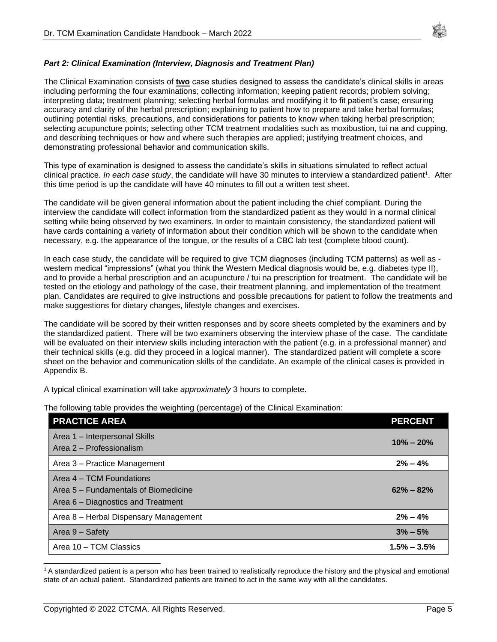

#### <span id="page-4-0"></span>*Part 2: Clinical Examination (Interview, Diagnosis and Treatment Plan)*

The Clinical Examination consists of **two** case studies designed to assess the candidate's clinical skills in areas including performing the four examinations; collecting information; keeping patient records; problem solving; interpreting data; treatment planning; selecting herbal formulas and modifying it to fit patient's case; ensuring accuracy and clarity of the herbal prescription; explaining to patient how to prepare and take herbal formulas; outlining potential risks, precautions, and considerations for patients to know when taking herbal prescription; selecting acupuncture points; selecting other TCM treatment modalities such as moxibustion, tui na and cupping, and describing techniques or how and where such therapies are applied; justifying treatment choices, and demonstrating professional behavior and communication skills.

This type of examination is designed to assess the candidate's skills in situations simulated to reflect actual clinical practice. *In each case study*, the candidate will have 30 minutes to interview a standardized patient<sup>1</sup>. After this time period is up the candidate will have 40 minutes to fill out a written test sheet.

The candidate will be given general information about the patient including the chief compliant. During the interview the candidate will collect information from the standardized patient as they would in a normal clinical setting while being observed by two examiners. In order to maintain consistency, the standardized patient will have cards containing a variety of information about their condition which will be shown to the candidate when necessary, e.g. the appearance of the tongue, or the results of a CBC lab test (complete blood count).

In each case study, the candidate will be required to give TCM diagnoses (including TCM patterns) as well as western medical "impressions" (what you think the Western Medical diagnosis would be, e.g. diabetes type II), and to provide a herbal prescription and an acupuncture / tui na prescription for treatment. The candidate will be tested on the etiology and pathology of the case, their treatment planning, and implementation of the treatment plan. Candidates are required to give instructions and possible precautions for patient to follow the treatments and make suggestions for dietary changes, lifestyle changes and exercises.

The candidate will be scored by their written responses and by score sheets completed by the examiners and by the standardized patient. There will be two examiners observing the interview phase of the case. The candidate will be evaluated on their interview skills including interaction with the patient (e.g. in a professional manner) and their technical skills (e.g. did they proceed in a logical manner). The standardized patient will complete a score sheet on the behavior and communication skills of the candidate. An example of the clinical cases is provided in Appendix B.

A typical clinical examination will take *approximately* 3 hours to complete.

The following table provides the weighting (percentage) of the Clinical Examination:

| <b>PRACTICE AREA</b>                                                                                   | <b>PERCENT</b>  |
|--------------------------------------------------------------------------------------------------------|-----------------|
| Area 1 - Interpersonal Skills<br>Area 2 - Professionalism                                              | $10\% - 20\%$   |
| Area 3 - Practice Management                                                                           | $2\% - 4\%$     |
| Area 4 – TCM Foundations<br>Area 5 – Fundamentals of Biomedicine<br>Area 6 – Diagnostics and Treatment | $62\% - 82\%$   |
| Area 8 - Herbal Dispensary Management                                                                  | $2\% - 4\%$     |
| Area 9 - Safety                                                                                        | $3\% - 5\%$     |
| Area 10 - TCM Classics                                                                                 | $1.5\% - 3.5\%$ |

<sup>&</sup>lt;sup>1</sup> A standardized patient is a person who has been trained to realistically reproduce the history and the physical and emotional state of an actual patient. Standardized patients are trained to act in the same way with all the candidates.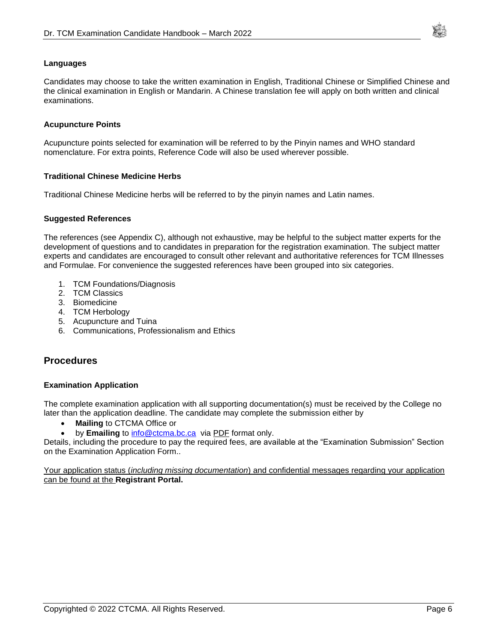

#### <span id="page-5-0"></span>**Languages**

Candidates may choose to take the written examination in English, Traditional Chinese or Simplified Chinese and the clinical examination in English or Mandarin. A Chinese translation fee will apply on both written and clinical examinations.

#### <span id="page-5-1"></span>**Acupuncture Points**

Acupuncture points selected for examination will be referred to by the Pinyin names and WHO standard nomenclature. For extra points, Reference Code will also be used wherever possible.

#### <span id="page-5-2"></span>**Traditional Chinese Medicine Herbs**

<span id="page-5-3"></span>Traditional Chinese Medicine herbs will be referred to by the pinyin names and Latin names.

#### **Suggested References**

The references (see Appendix C), although not exhaustive, may be helpful to the subject matter experts for the development of questions and to candidates in preparation for the registration examination. The subject matter experts and candidates are encouraged to consult other relevant and authoritative references for TCM Illnesses and Formulae. For convenience the suggested references have been grouped into six categories.

- 1. TCM Foundations/Diagnosis
- 2. TCM Classics
- 3. Biomedicine
- 4. TCM Herbology
- 5. Acupuncture and Tuina
- <span id="page-5-4"></span>6. Communications, Professionalism and Ethics

### <span id="page-5-5"></span>**Procedures**

#### **Examination Application**

The complete examination application with all supporting documentation(s) must be received by the College no later than the application deadline. The candidate may complete the submission either by

- **Mailing** to CTCMA Office or
- by **Emailing** to **info@ctcma.bc.ca** via PDF format only.

Details, including the procedure to pay the required fees, are available at the "Examination Submission" Section on the Examination Application Form..

Your application status (*including missing documentation*) and confidential messages regarding your application can be found at the **Registrant Portal.**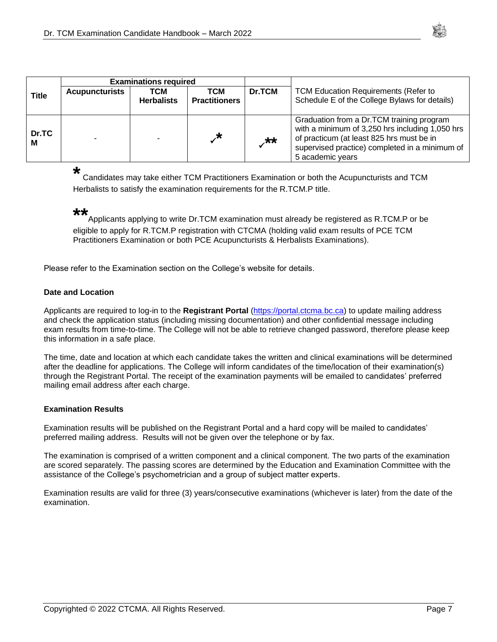

|            | <b>Examinations required</b> |                          |                             |        |                                                                                                                                                                                                                 |
|------------|------------------------------|--------------------------|-----------------------------|--------|-----------------------------------------------------------------------------------------------------------------------------------------------------------------------------------------------------------------|
| Title      | <b>Acupuncturists</b>        | TCM<br><b>Herbalists</b> | тсм<br><b>Practitioners</b> | Dr.TCM | <b>TCM Education Requirements (Refer to</b><br>Schedule E of the College Bylaws for details)                                                                                                                    |
| Dr.TC<br>М |                              |                          | $\star$                     | $**$   | Graduation from a Dr.TCM training program<br>with a minimum of 3,250 hrs including 1,050 hrs<br>of practicum (at least 825 hrs must be in<br>supervised practice) completed in a minimum of<br>5 academic years |

#### **\***

Candidates may take either TCM Practitioners Examination or both the Acupuncturists and TCM Herbalists to satisfy the examination requirements for the R.TCM.P title.

#### **\*\***

Applicants applying to write Dr.TCM examination must already be registered as R.TCM.P or be eligible to apply for R.TCM.P registration with CTCMA (holding valid exam results of PCE TCM Practitioners Examination or both PCE Acupuncturists & Herbalists Examinations).

<span id="page-6-0"></span>Please refer to the Examination section on the College's website for details.

#### **Date and Location**

Applicants are required to log-in to the **Registrant Portal** [\(https://portal.ctcma.bc.ca\)](https://portal.ctcma.bc.ca/) to update mailing address and check the application status (including missing documentation) and other confidential message including exam results from time-to-time. The College will not be able to retrieve changed password, therefore please keep this information in a safe place.

The time, date and location at which each candidate takes the written and clinical examinations will be determined after the deadline for applications. The College will inform candidates of the time/location of their examination(s) through the Registrant Portal. The receipt of the examination payments will be emailed to candidates' preferred mailing email address after each charge.

#### <span id="page-6-1"></span>**Examination Results**

Examination results will be published on the Registrant Portal and a hard copy will be mailed to candidates' preferred mailing address. Results will not be given over the telephone or by fax.

The examination is comprised of a written component and a clinical component. The two parts of the examination are scored separately. The passing scores are determined by the Education and Examination Committee with the assistance of the College's psychometrician and a group of subject matter experts.

Examination results are valid for three (3) years/consecutive examinations (whichever is later) from the date of the examination.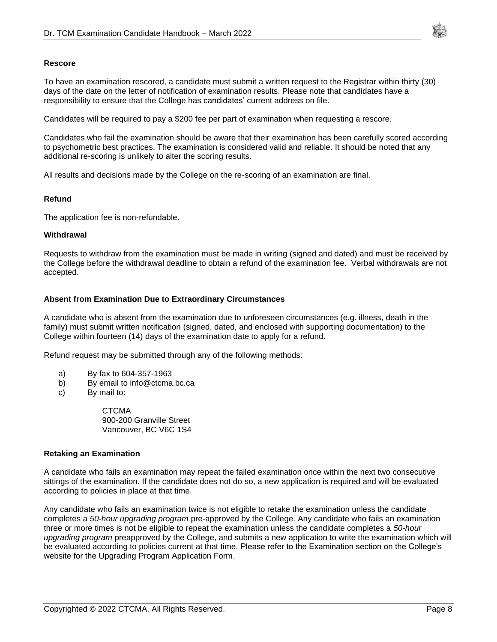

#### <span id="page-7-0"></span>**Rescore**

To have an examination rescored, a candidate must submit a written request to the Registrar within thirty (30) days of the date on the letter of notification of examination results. Please note that candidates have a responsibility to ensure that the College has candidates' current address on file.

Candidates will be required to pay a \$200 fee per part of examination when requesting a rescore.

Candidates who fail the examination should be aware that their examination has been carefully scored according to psychometric best practices. The examination is considered valid and reliable. It should be noted that any additional re-scoring is unlikely to alter the scoring results.

<span id="page-7-1"></span>All results and decisions made by the College on the re-scoring of an examination are final.

#### **Refund**

The application fee is non-refundable.

#### <span id="page-7-2"></span>**Withdrawal**

Requests to withdraw from the examination must be made in writing (signed and dated) and must be received by the College before the withdrawal deadline to obtain a refund of the examination fee. Verbal withdrawals are not accepted.

#### <span id="page-7-3"></span>**Absent from Examination Due to Extraordinary Circumstances**

A candidate who is absent from the examination due to unforeseen circumstances (e.g. illness, death in the family) must submit written notification (signed, dated, and enclosed with supporting documentation) to the College within fourteen (14) days of the examination date to apply for a refund.

Refund request may be submitted through any of the following methods:

- a) By fax to 604-357-1963
- b) By email to info@ctcma.bc.ca
- c) By mail to:

**CTCMA** 900-200 Granville Street Vancouver, BC V6C 1S4

#### <span id="page-7-4"></span>**Retaking an Examination**

A candidate who fails an examination may repeat the failed examination once within the next two consecutive sittings of the examination. If the candidate does not do so, a new application is required and will be evaluated according to policies in place at that time.

Any candidate who fails an examination twice is not eligible to retake the examination unless the candidate completes a *50-hour upgrading program* pre-approved by the College. Any candidate who fails an examination three or more times is not be eligible to repeat the examination unless the candidate completes a *50-hour upgrading program* preapproved by the College, and submits a new application to write the examination which will be evaluated according to policies current at that time. Please refer to the Examination section on the College's website for the Upgrading Program Application Form.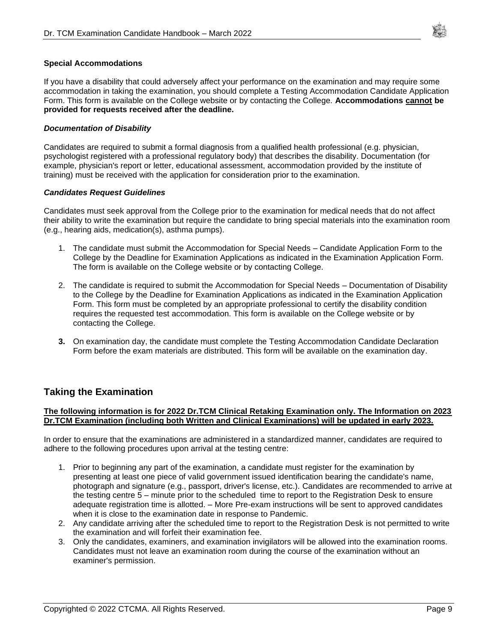

#### <span id="page-8-0"></span>**Special Accommodations**

If you have a disability that could adversely affect your performance on the examination and may require some accommodation in taking the examination, you should complete a Testing Accommodation Candidate Application Form. This form is available on the College website or by contacting the College. **Accommodations cannot be provided for requests received after the deadline.** 

#### <span id="page-8-1"></span>*Documentation of Disability*

Candidates are required to submit a formal diagnosis from a qualified health professional (e.g. physician, psychologist registered with a professional regulatory body) that describes the disability. Documentation (for example, physician's report or letter, educational assessment, accommodation provided by the institute of training) must be received with the application for consideration prior to the examination.

#### <span id="page-8-2"></span>*Candidates Request Guidelines*

Candidates must seek approval from the College prior to the examination for medical needs that do not affect their ability to write the examination but require the candidate to bring special materials into the examination room (e.g., hearing aids, medication(s), asthma pumps).

- 1. The candidate must submit the Accommodation for Special Needs Candidate Application Form to the College by the Deadline for Examination Applications as indicated in the Examination Application Form. The form is available on the College website or by contacting College.
- 2. The candidate is required to submit the Accommodation for Special Needs Documentation of Disability to the College by the Deadline for Examination Applications as indicated in the Examination Application Form. This form must be completed by an appropriate professional to certify the disability condition requires the requested test accommodation. This form is available on the College website or by contacting the College.
- **3.** On examination day, the candidate must complete the Testing Accommodation Candidate Declaration Form before the exam materials are distributed. This form will be available on the examination day.

### <span id="page-8-3"></span>**Taking the Examination**

#### **The following information is for 2022 Dr.TCM Clinical Retaking Examination only. The Information on 2023 Dr.TCM Examination (including both Written and Clinical Examinations) will be updated in early 2023.**

In order to ensure that the examinations are administered in a standardized manner, candidates are required to adhere to the following procedures upon arrival at the testing centre:

- 1. Prior to beginning any part of the examination, a candidate must register for the examination by presenting at least one piece of valid government issued identification bearing the candidate's name, photograph and signature (e.g., passport, driver's license, etc.). Candidates are recommended to arrive at the testing centre 5 – minute prior to the scheduled time to report to the Registration Desk to ensure adequate registration time is allotted. – More Pre-exam instructions will be sent to approved candidates when it is close to the examination date in response to Pandemic.
- 2. Any candidate arriving after the scheduled time to report to the Registration Desk is not permitted to write the examination and will forfeit their examination fee.
- 3. Only the candidates, examiners, and examination invigilators will be allowed into the examination rooms. Candidates must not leave an examination room during the course of the examination without an examiner's permission.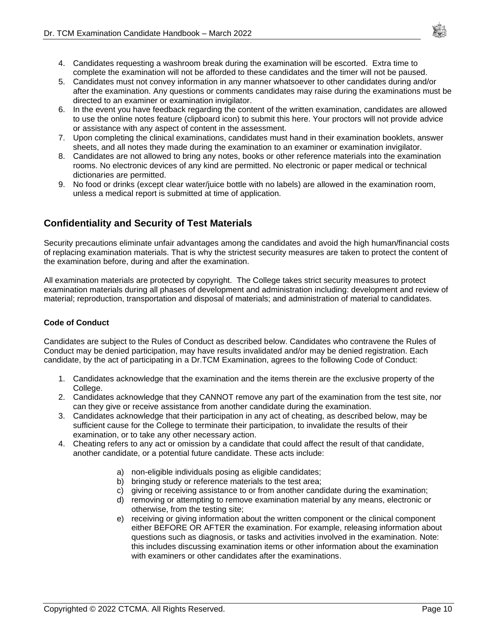- 4. Candidates requesting a washroom break during the examination will be escorted. Extra time to complete the examination will not be afforded to these candidates and the timer will not be paused.
- 5. Candidates must not convey information in any manner whatsoever to other candidates during and/or after the examination. Any questions or comments candidates may raise during the examinations must be directed to an examiner or examination invigilator.
- 6. In the event you have feedback regarding the content of the written examination, candidates are allowed to use the online notes feature (clipboard icon) to submit this here. Your proctors will not provide advice or assistance with any aspect of content in the assessment.
- 7. Upon completing the clinical examinations, candidates must hand in their examination booklets, answer sheets, and all notes they made during the examination to an examiner or examination invigilator.
- 8. Candidates are not allowed to bring any notes, books or other reference materials into the examination rooms. No electronic devices of any kind are permitted. No electronic or paper medical or technical dictionaries are permitted.
- 9. No food or drinks (except clear water/juice bottle with no labels) are allowed in the examination room, unless a medical report is submitted at time of application.

### <span id="page-9-0"></span>**Confidentiality and Security of Test Materials**

Security precautions eliminate unfair advantages among the candidates and avoid the high human/financial costs of replacing examination materials. That is why the strictest security measures are taken to protect the content of the examination before, during and after the examination.

All examination materials are protected by copyright. The College takes strict security measures to protect examination materials during all phases of development and administration including: development and review of material; reproduction, transportation and disposal of materials; and administration of material to candidates.

#### <span id="page-9-1"></span>**Code of Conduct**

Candidates are subject to the Rules of Conduct as described below. Candidates who contravene the Rules of Conduct may be denied participation, may have results invalidated and/or may be denied registration. Each candidate, by the act of participating in a Dr.TCM Examination, agrees to the following Code of Conduct:

- 1. Candidates acknowledge that the examination and the items therein are the exclusive property of the College.
- 2. Candidates acknowledge that they CANNOT remove any part of the examination from the test site, nor can they give or receive assistance from another candidate during the examination.
- 3. Candidates acknowledge that their participation in any act of cheating, as described below, may be sufficient cause for the College to terminate their participation, to invalidate the results of their examination, or to take any other necessary action.
- 4. Cheating refers to any act or omission by a candidate that could affect the result of that candidate, another candidate, or a potential future candidate. These acts include:
	- a) non-eligible individuals posing as eligible candidates;
	- b) bringing study or reference materials to the test area;
	- c) giving or receiving assistance to or from another candidate during the examination;
	- d) removing or attempting to remove examination material by any means, electronic or otherwise, from the testing site;
	- e) receiving or giving information about the written component or the clinical component either BEFORE OR AFTER the examination. For example, releasing information about questions such as diagnosis, or tasks and activities involved in the examination. Note: this includes discussing examination items or other information about the examination with examiners or other candidates after the examinations.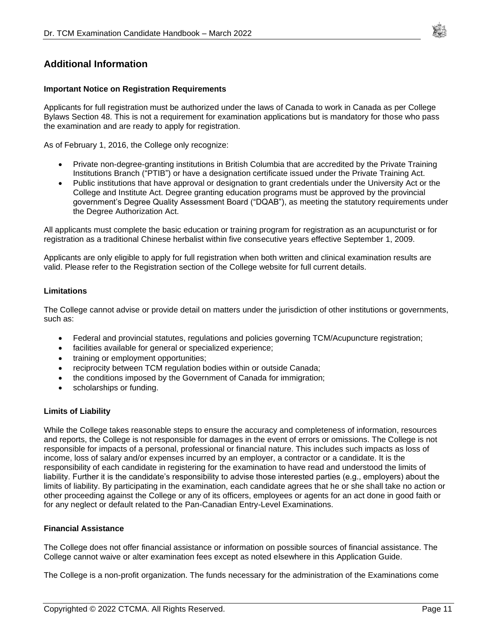

### <span id="page-10-1"></span><span id="page-10-0"></span>**Additional Information**

#### **Important Notice on Registration Requirements**

Applicants for full registration must be authorized under the laws of Canada to work in Canada as per College Bylaws Section 48. This is not a requirement for examination applications but is mandatory for those who pass the examination and are ready to apply for registration.

As of February 1, 2016, the College only recognize:

- Private non-degree-granting institutions in British Columbia that are accredited by the Private Training Institutions Branch ("PTIB") or have a designation certificate issued under the Private Training Act.
- Public institutions that have approval or designation to grant credentials under the University Act or the College and Institute Act. Degree granting education programs must be approved by the provincial government's Degree Quality Assessment Board ("DQAB"), as meeting the statutory requirements under the Degree Authorization Act.

All applicants must complete the basic education or training program for registration as an acupuncturist or for registration as a traditional Chinese herbalist within five consecutive years effective September 1, 2009.

Applicants are only eligible to apply for full registration when both written and clinical examination results are valid. Please refer to the Registration section of the College website for full current details.

#### <span id="page-10-2"></span>**Limitations**

The College cannot advise or provide detail on matters under the jurisdiction of other institutions or governments, such as:

- Federal and provincial statutes, regulations and policies governing TCM/Acupuncture registration;
- facilities available for general or specialized experience;
- training or employment opportunities;
- reciprocity between TCM regulation bodies within or outside Canada;
- the conditions imposed by the Government of Canada for immigration;
- scholarships or funding.

#### <span id="page-10-3"></span>**Limits of Liability**

While the College takes reasonable steps to ensure the accuracy and completeness of information, resources and reports, the College is not responsible for damages in the event of errors or omissions. The College is not responsible for impacts of a personal, professional or financial nature. This includes such impacts as loss of income, loss of salary and/or expenses incurred by an employer, a contractor or a candidate. It is the responsibility of each candidate in registering for the examination to have read and understood the limits of liability. Further it is the candidate's responsibility to advise those interested parties (e.g., employers) about the limits of liability. By participating in the examination, each candidate agrees that he or she shall take no action or other proceeding against the College or any of its officers, employees or agents for an act done in good faith or for any neglect or default related to the Pan-Canadian Entry-Level Examinations.

#### <span id="page-10-4"></span>**Financial Assistance**

The College does not offer financial assistance or information on possible sources of financial assistance. The College cannot waive or alter examination fees except as noted elsewhere in this Application Guide.

The College is a non-profit organization. The funds necessary for the administration of the Examinations come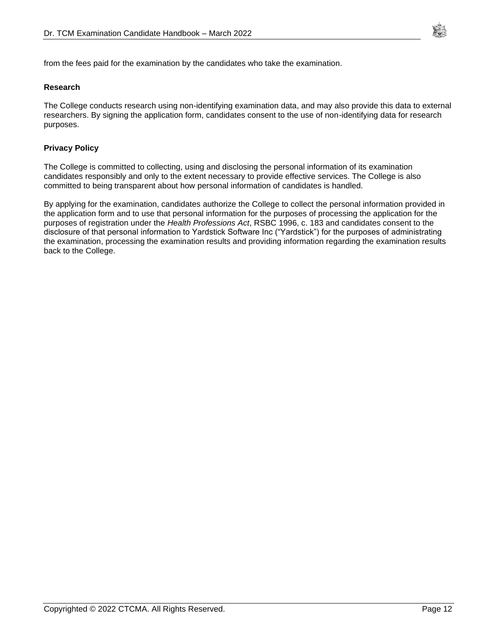

<span id="page-11-0"></span>from the fees paid for the examination by the candidates who take the examination.

#### **Research**

The College conducts research using non-identifying examination data, and may also provide this data to external researchers. By signing the application form, candidates consent to the use of non-identifying data for research purposes.

#### <span id="page-11-1"></span>**Privacy Policy**

The College is committed to collecting, using and disclosing the personal information of its examination candidates responsibly and only to the extent necessary to provide effective services. The College is also committed to being transparent about how personal information of candidates is handled.

By applying for the examination, candidates authorize the College to collect the personal information provided in the application form and to use that personal information for the purposes of processing the application for the purposes of registration under the *Health Professions Act*, RSBC 1996, c. 183 and candidates consent to the disclosure of that personal information to Yardstick Software Inc ("Yardstick") for the purposes of administrating the examination, processing the examination results and providing information regarding the examination results back to the College.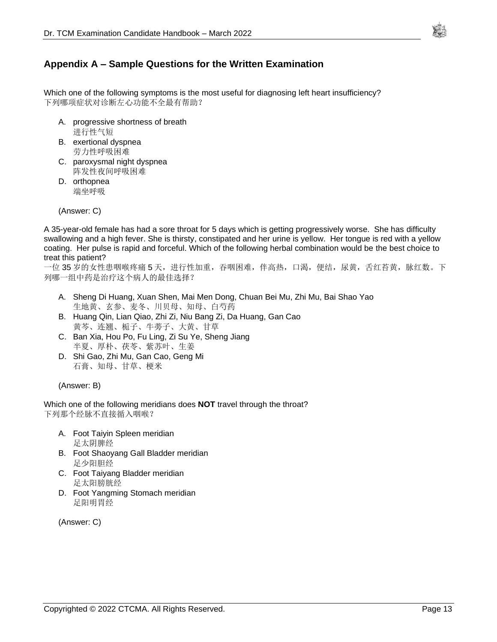

### <span id="page-12-0"></span>**Appendix A – Sample Questions for the Written Examination**

Which one of the following symptoms is the most useful for diagnosing left heart insufficiency? 下列哪项症状对诊断左心功能不全最有帮助?

- A. progressive shortness of breath 进行性气短
- B. exertional dyspnea 劳力性呼吸困难
- C. paroxysmal night dyspnea 阵发性夜间呼吸困难
- D. orthopnea 端坐呼吸

(Answer: C)

A 35-year-old female has had a sore throat for 5 days which is getting progressively worse. She has difficulty swallowing and a high fever. She is thirsty, constipated and her urine is yellow. Her tongue is red with a yellow coating. Her pulse is rapid and forceful. Which of the following herbal combination would be the best choice to treat this patient?

一位 35 岁的女性患咽喉疼痛 5 天,进行性加重,吞咽困难,伴高热,口渴,便结,尿黄,舌红苔黄,脉红数。下 列哪一组中药是治疗这个病人的最佳选择?

- A. Sheng Di Huang, Xuan Shen, Mai Men Dong, Chuan Bei Mu, Zhi Mu, Bai Shao Yao 生地黄、玄参、麦冬、川贝母、知母、白芍药
- B. Huang Qin, Lian Qiao, Zhi Zi, Niu Bang Zi, Da Huang, Gan Cao 黄芩、连翘、栀子、牛蒡子、大黄、甘草
- C. Ban Xia, Hou Po, Fu Ling, Zi Su Ye, Sheng Jiang 半夏、厚朴、茯苓、紫苏叶、生姜
- D. Shi Gao, Zhi Mu, Gan Cao, Geng Mi 石膏、知母、甘草、梗米

(Answer: B)

Which one of the following meridians does **NOT** travel through the throat? 下列那个经脉不直接循入咽喉?

- A. Foot Taiyin Spleen meridian 足太阴脾经
- B. Foot Shaoyang Gall Bladder meridian 足少阳胆经
- C. Foot Taiyang Bladder meridian 足太阳膀胱经
- D. Foot Yangming Stomach meridian 足阳明胃经

(Answer: C)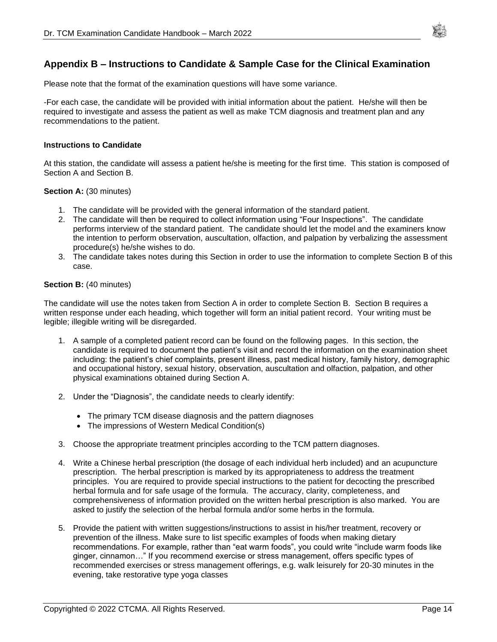

### <span id="page-13-0"></span>**Appendix B – Instructions to Candidate & Sample Case for the Clinical Examination**

Please note that the format of the examination questions will have some variance.

-For each case, the candidate will be provided with initial information about the patient. He/she will then be required to investigate and assess the patient as well as make TCM diagnosis and treatment plan and any recommendations to the patient.

#### **Instructions to Candidate**

At this station, the candidate will assess a patient he/she is meeting for the first time. This station is composed of Section A and Section B.

#### **Section A: (30 minutes)**

- 1. The candidate will be provided with the general information of the standard patient.
- 2. The candidate will then be required to collect information using "Four Inspections". The candidate performs interview of the standard patient. The candidate should let the model and the examiners know the intention to perform observation, auscultation, olfaction, and palpation by verbalizing the assessment procedure(s) he/she wishes to do.
- 3. The candidate takes notes during this Section in order to use the information to complete Section B of this case.

#### **Section B: (40 minutes)**

The candidate will use the notes taken from Section A in order to complete Section B. Section B requires a written response under each heading, which together will form an initial patient record. Your writing must be legible; illegible writing will be disregarded.

- 1. A sample of a completed patient record can be found on the following pages. In this section, the candidate is required to document the patient's visit and record the information on the examination sheet including: the patient's chief complaints, present illness, past medical history, family history, demographic and occupational history, sexual history, observation, auscultation and olfaction, palpation, and other physical examinations obtained during Section A.
- 2. Under the "Diagnosis", the candidate needs to clearly identify:
	- The primary TCM disease diagnosis and the pattern diagnoses
	- The impressions of Western Medical Condition(s)
- 3. Choose the appropriate treatment principles according to the TCM pattern diagnoses.
- 4. Write a Chinese herbal prescription (the dosage of each individual herb included) and an acupuncture prescription. The herbal prescription is marked by its appropriateness to address the treatment principles. You are required to provide special instructions to the patient for decocting the prescribed herbal formula and for safe usage of the formula. The accuracy, clarity, completeness, and comprehensiveness of information provided on the written herbal prescription is also marked. You are asked to justify the selection of the herbal formula and/or some herbs in the formula.
- 5. Provide the patient with written suggestions/instructions to assist in his/her treatment, recovery or prevention of the illness. Make sure to list specific examples of foods when making dietary recommendations. For example, rather than "eat warm foods", you could write "include warm foods like ginger, cinnamon…" If you recommend exercise or stress management, offers specific types of recommended exercises or stress management offerings, e.g. walk leisurely for 20-30 minutes in the evening, take restorative type yoga classes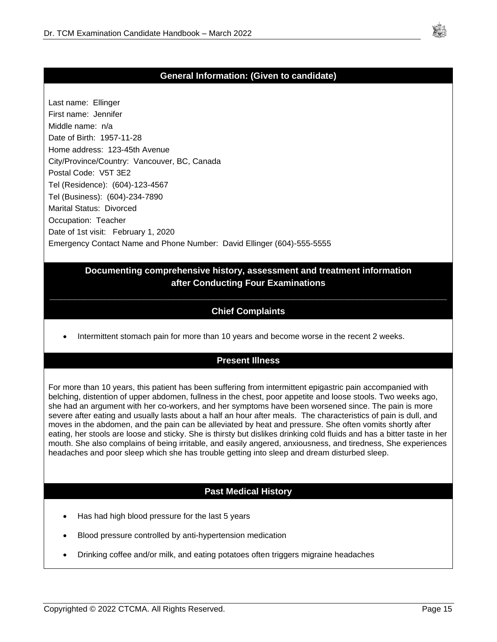

### **General Information: (Given to candidate)**

Last name: Ellinger First name: Jennifer Middle name: n/a Date of Birth: 1957-11-28 Home address: 123-45th Avenue City/Province/Country: Vancouver, BC, Canada Postal Code: V5T 3E2 Tel (Residence): (604)-123-4567 Tel (Business): (604)-234-7890 Marital Status: Divorced Occupation: Teacher Date of 1st visit: February 1, 2020 Emergency Contact Name and Phone Number: David Ellinger (604)-555-5555

### **Documenting comprehensive history, assessment and treatment information after Conducting Four Examinations**

## **\_\_\_\_\_\_\_\_\_\_\_\_\_\_\_\_\_\_\_\_\_\_\_\_\_\_\_\_\_\_\_\_\_\_\_\_\_\_\_\_\_\_\_\_\_\_\_\_\_\_\_\_\_\_\_\_\_\_\_\_\_\_\_\_\_\_\_\_\_\_\_\_\_\_\_\_\_\_\_\_ Chief Complaints**

• Intermittent stomach pain for more than 10 years and become worse in the recent 2 weeks.

### **Present Illness**

For more than 10 years, this patient has been suffering from intermittent epigastric pain accompanied with belching, distention of upper abdomen, fullness in the chest, poor appetite and loose stools. Two weeks ago, she had an argument with her co-workers, and her symptoms have been worsened since. The pain is more severe after eating and usually lasts about a half an hour after meals. The characteristics of pain is dull, and moves in the abdomen, and the pain can be alleviated by heat and pressure. She often vomits shortly after eating, her stools are loose and sticky. She is thirsty but dislikes drinking cold fluids and has a bitter taste in her mouth. She also complains of being irritable, and easily angered, anxiousness, and tiredness, She experiences headaches and poor sleep which she has trouble getting into sleep and dream disturbed sleep.

### **Past Medical History**

- Has had high blood pressure for the last 5 years
- Blood pressure controlled by anti-hypertension medication
- Drinking coffee and/or milk, and eating potatoes often triggers migraine headaches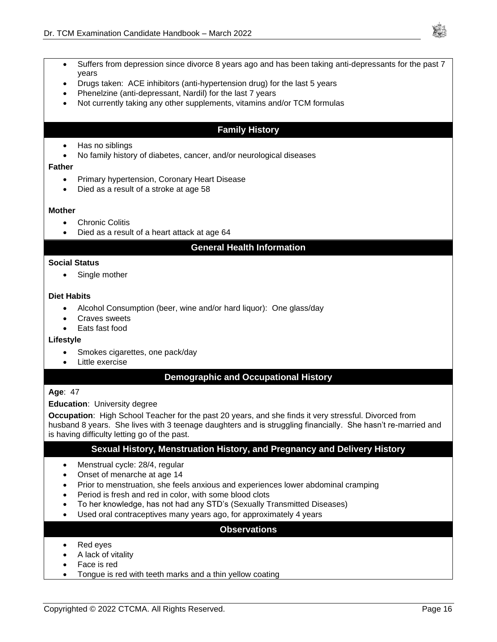

- Suffers from depression since divorce 8 years ago and has been taking anti-depressants for the past 7 years
- Drugs taken: ACE inhibitors (anti-hypertension drug) for the last 5 years
- Phenelzine (anti-depressant, Nardil) for the last 7 years
- Not currently taking any other supplements, vitamins and/or TCM formulas

### **Family History**

- Has no siblings
- No family history of diabetes, cancer, and/or neurological diseases

#### **Father**

- Primary hypertension, Coronary Heart Disease
- Died as a result of a stroke at age 58

#### **Mother**

- **Chronic Colitis**
- Died as a result of a heart attack at age 64

### **General Health Information**

#### **Social Status**

• Single mother

#### **Diet Habits**

- Alcohol Consumption (beer, wine and/or hard liquor): One glass/day
- Craves sweets
- Eats fast food

#### **Lifestyle**

- Smokes cigarettes, one pack/day
- Little exercise

### **Demographic and Occupational History**

#### **Age**: 47

#### **Education**: University degree

**Occupation**: High School Teacher for the past 20 years, and she finds it very stressful. Divorced from husband 8 years. She lives with 3 teenage daughters and is struggling financially. She hasn't re-married and is having difficulty letting go of the past.

### **Sexual History, Menstruation History, and Pregnancy and Delivery History**

- Menstrual cycle: 28/4, regular
- Onset of menarche at age 14
- Prior to menstruation, she feels anxious and experiences lower abdominal cramping
- Period is fresh and red in color, with some blood clots
- To her knowledge, has not had any STD's (Sexually Transmitted Diseases)
- Used oral contraceptives many years ago, for approximately 4 years

#### **Observations**

- Red eyes
- A lack of vitality
- Face is red
- Tongue is red with teeth marks and a thin yellow coating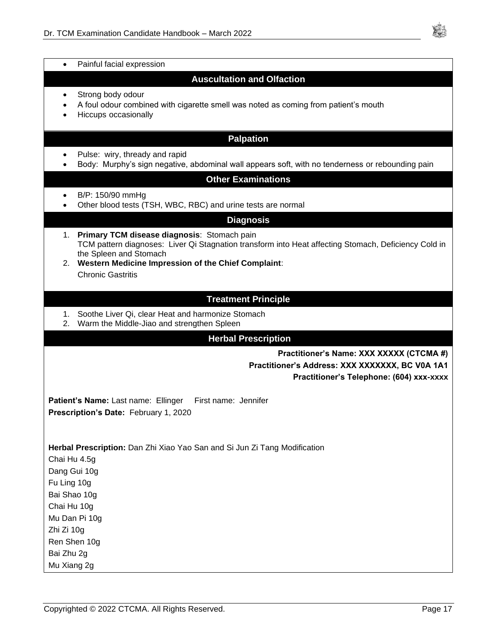

|                                   | Painful facial expression                                                                                                                                                                                                               |  |  |
|-----------------------------------|-----------------------------------------------------------------------------------------------------------------------------------------------------------------------------------------------------------------------------------------|--|--|
| <b>Auscultation and Olfaction</b> |                                                                                                                                                                                                                                         |  |  |
| ٠                                 | Strong body odour<br>A foul odour combined with cigarette smell was noted as coming from patient's mouth<br>Hiccups occasionally                                                                                                        |  |  |
|                                   | <b>Palpation</b>                                                                                                                                                                                                                        |  |  |
|                                   | Pulse: wiry, thready and rapid<br>Body: Murphy's sign negative, abdominal wall appears soft, with no tenderness or rebounding pain<br><b>Other Examinations</b>                                                                         |  |  |
|                                   | B/P: 150/90 mmHg<br>Other blood tests (TSH, WBC, RBC) and urine tests are normal                                                                                                                                                        |  |  |
|                                   | <b>Diagnosis</b>                                                                                                                                                                                                                        |  |  |
| 1.                                | Primary TCM disease diagnosis: Stomach pain<br>TCM pattern diagnoses: Liver Qi Stagnation transform into Heat affecting Stomach, Deficiency Cold in<br>the Spleen and Stomach<br>2. Western Medicine Impression of the Chief Complaint: |  |  |
|                                   | <b>Chronic Gastritis</b>                                                                                                                                                                                                                |  |  |
|                                   |                                                                                                                                                                                                                                         |  |  |
| 1.<br>2.                          | <b>Treatment Principle</b><br>Soothe Liver Qi, clear Heat and harmonize Stomach<br>Warm the Middle-Jiao and strengthen Spleen                                                                                                           |  |  |
|                                   | <b>Herbal Prescription</b>                                                                                                                                                                                                              |  |  |
|                                   | Practitioner's Name: XXX XXXXX (CTCMA #)<br>Practitioner's Address: XXX XXXXXX, BC V0A 1A1<br>Practitioner's Telephone: (604) xxx-xxxx                                                                                                  |  |  |
|                                   | First name: Jennifer<br>Patient's Name: Last name: Ellinger                                                                                                                                                                             |  |  |
|                                   | Prescription's Date: February 1, 2020                                                                                                                                                                                                   |  |  |
|                                   |                                                                                                                                                                                                                                         |  |  |
|                                   | Herbal Prescription: Dan Zhi Xiao Yao San and Si Jun Zi Tang Modification                                                                                                                                                               |  |  |
| Chai Hu 4.5g                      |                                                                                                                                                                                                                                         |  |  |
| Dang Gui 10g                      |                                                                                                                                                                                                                                         |  |  |
| Fu Ling 10g                       |                                                                                                                                                                                                                                         |  |  |
| Bai Shao 10g                      |                                                                                                                                                                                                                                         |  |  |
| Chai Hu 10g                       | Mu Dan Pi 10g                                                                                                                                                                                                                           |  |  |
| Zhi Zi 10g                        |                                                                                                                                                                                                                                         |  |  |
| Ren Shen 10g                      |                                                                                                                                                                                                                                         |  |  |
| Bai Zhu 2g                        |                                                                                                                                                                                                                                         |  |  |
| Mu Xiang 2g                       |                                                                                                                                                                                                                                         |  |  |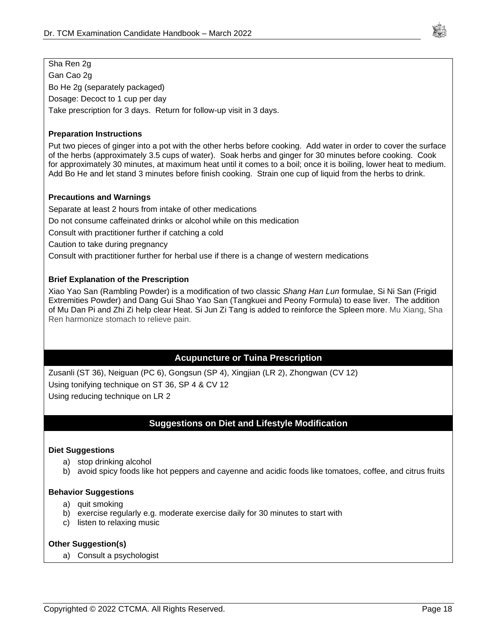

### Sha Ren 2g

Gan Cao 2g Bo He 2g (separately packaged) Dosage: Decoct to 1 cup per day Take prescription for 3 days. Return for follow-up visit in 3 days.

#### **Preparation Instructions**

Put two pieces of ginger into a pot with the other herbs before cooking. Add water in order to cover the surface of the herbs (approximately 3.5 cups of water). Soak herbs and ginger for 30 minutes before cooking. Cook for approximately 30 minutes, at maximum heat until it comes to a boil; once it is boiling, lower heat to medium. Add Bo He and let stand 3 minutes before finish cooking. Strain one cup of liquid from the herbs to drink.

#### **Precautions and Warnings**

Separate at least 2 hours from intake of other medications

Do not consume caffeinated drinks or alcohol while on this medication

Consult with practitioner further if catching a cold

Caution to take during pregnancy

Consult with practitioner further for herbal use if there is a change of western medications

#### **Brief Explanation of the Prescription**

Xiao Yao San (Rambling Powder) is a modification of two classic *Shang Han Lun* formulae, Si Ni San (Frigid Extremities Powder) and Dang Gui Shao Yao San (Tangkuei and Peony Formula) to ease liver. The addition of Mu Dan Pi and Zhi Zi help clear Heat. Si Jun Zi Tang is added to reinforce the Spleen more. Mu Xiang, Sha Ren harmonize stomach to relieve pain.

### **Acupuncture or Tuina Prescription**

Zusanli (ST 36), Neiguan (PC 6), Gongsun (SP 4), Xingjian (LR 2), Zhongwan (CV 12) Using tonifying technique on ST 36, SP 4 & CV 12 Using reducing technique on LR 2

### **Suggestions on Diet and Lifestyle Modification**

#### **Diet Suggestions**

- a) stop drinking alcohol
- b) avoid spicy foods like hot peppers and cayenne and acidic foods like tomatoes, coffee, and citrus fruits

#### **Behavior Suggestions**

- a) quit smoking
- b) exercise regularly e.g. moderate exercise daily for 30 minutes to start with
- c) listen to relaxing music

#### **Other Suggestion(s)**

a) Consult a psychologist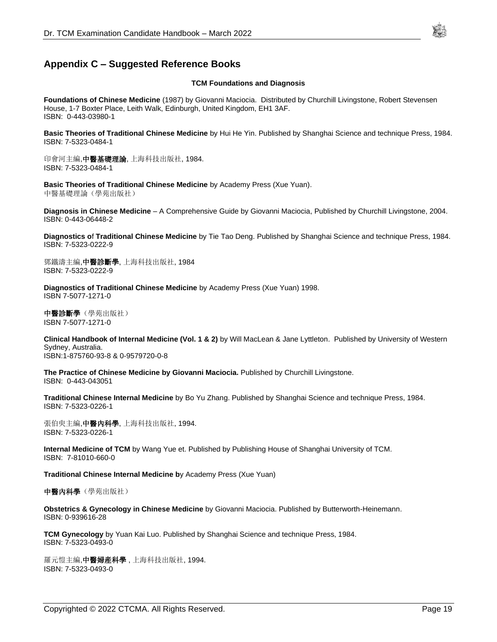### <span id="page-18-0"></span>**Appendix C – Suggested Reference Books**

#### **TCM Foundations and Diagnosis**

**Foundations of Chinese Medicine** (1987) by Giovanni Maciocia. Distributed by Churchill Livingstone, Robert Stevensen House, 1-7 Boxter Place, Leith Walk, Edinburgh, United Kingdom, EH1 3AF. ISBN: 0-443-03980-1

**Basic Theories of Traditional Chinese Medicine** by Hui He Yin. Published by Shanghai Science and technique Press, 1984. ISBN: 7-5323-0484-1

印會河主編,中醫基礎理論, 上海科技出版社, 1984. ISBN: 7-5323-0484-1

**Basic Theories of Traditional Chinese Medicine** by Academy Press (Xue Yuan). 中醫基礎理論(學苑出版社)

**Diagnosis in Chinese Medicine** – A Comprehensive Guide by Giovanni Maciocia, Published by Churchill Livingstone, 2004. ISBN: 0-443-06448-2

**Diagnostics o**f **Traditional Chinese Medicine** by Tie Tao Deng. Published by Shanghai Science and technique Press, 1984. ISBN: 7-5323-0222-9

鄧鐵濤主編,中醫診斷學, 上海科技出版社, 1984 ISBN: 7-5323-0222-9

**Diagnostics of Traditional Chinese Medicine** by Academy Press (Xue Yuan) 1998. ISBN 7-5077-1271-0

中醫診斷學(學苑出版社) ISBN 7-5077-1271-0

**Clinical Handbook of Internal Medicine (Vol. 1 & 2)** by Will MacLean & Jane Lyttleton. Published by University of Western Sydney, Australia. ISBN:1-875760-93-8 & 0-9579720-0-8

**The Practice of Chinese Medicine by Giovanni Maciocia.** Published by Churchill Livingstone. ISBN: 0-443-043051

**Traditional Chinese Internal Medicine** by Bo Yu Zhang. Published by Shanghai Science and technique Press, 1984. ISBN: 7-5323-0226-1

張伯臾主編,**中醫內科學**, 上海科技出版社, 1994. ISBN: 7-5323-0226-1

**Internal Medicine of TCM** by Wang Yue et. Published by Publishing House of Shanghai University of TCM. ISBN: 7-81010-660-0

**Traditional Chinese Internal Medicine b**y Academy Press (Xue Yuan)

**中醫內科學**(學苑出版社)

**Obstetrics & Gynecology in Chinese Medicine** by Giovanni Maciocia. Published by Butterworth-Heinemann. ISBN: 0-939616-28

**TCM Gynecology** by Yuan Kai Luo. Published by Shanghai Science and technique Press, 1984. ISBN: 7-5323-0493-0

羅元愷主編,中醫婦産科學, 上海科技出版社, 1994. ISBN: 7-5323-0493-0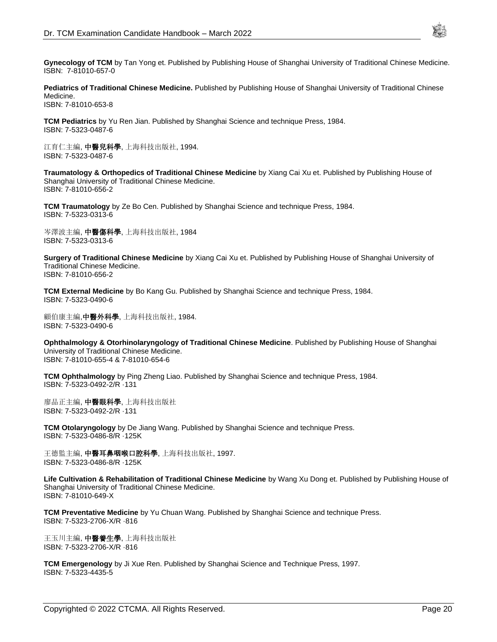

**Gynecology of TCM** by Tan Yong et. Published by Publishing House of Shanghai University of Traditional Chinese Medicine. ISBN: 7-81010-657-0

**Pediatrics of Traditional Chinese Medicine.** Published by Publishing House of Shanghai University of Traditional Chinese Medicine. ISBN: 7-81010-653-8

**TCM Pediatrics** by Yu Ren Jian. Published by Shanghai Science and technique Press, 1984. ISBN: 7-5323-0487-6

江育仁主編, 中醫兒科學, 上海科技出版社, 1994. ISBN: 7-5323-0487-6

**Traumatology & Orthopedics of Traditional Chinese Medicine** by Xiang Cai Xu et. Published by Publishing House of Shanghai University of Traditional Chinese Medicine. ISBN: 7-81010-656-2

**TCM Traumatology** by Ze Bo Cen. Published by Shanghai Science and technique Press, 1984. ISBN: 7-5323-0313-6

岑澤波主編, 中醫傷科學, 上海科技出版社, 1984 ISBN: 7-5323-0313-6

**Surgery of Traditional Chinese Medicine** by Xiang Cai Xu et. Published by Publishing House of Shanghai University of Traditional Chinese Medicine. ISBN: 7-81010-656-2

**TCM External Medicine** by Bo Kang Gu. Published by Shanghai Science and technique Press, 1984. ISBN: 7-5323-0490-6

顧伯康主編,中醫外科學, 上海科技出版社, 1984. ISBN: 7-5323-0490-6

**Ophthalmology & Otorhinolaryngology of Traditional Chinese Medicine**. Published by Publishing House of Shanghai University of Traditional Chinese Medicine. ISBN: 7-81010-655-4 & 7-81010-654-6

**TCM Ophthalmology** by Ping Zheng Liao. Published by Shanghai Science and technique Press, 1984. ISBN: 7-5323-0492-2/R ·131

廖品正主編, 中醫眼科學, 上海科技出版社 ISBN: 7-5323-0492-2/R ·131

**TCM Otolaryngology** by De Jiang Wang. Published by Shanghai Science and technique Press. ISBN: 7-5323-0486-8/R ·125K

王德監主編, **中醫耳鼻咽喉口腔科學**, 上海科技出版社, 1997. ISBN: 7-5323-0486-8/R ·125K

**Life Cultivation & Rehabilitation of Traditional Chinese Medicine** by Wang Xu Dong et. Published by Publishing House of Shanghai University of Traditional Chinese Medicine. ISBN: 7-81010-649-X

**TCM Preventative Medicine** by Yu Chuan Wang. Published by Shanghai Science and technique Press. ISBN: 7-5323-2706-X/R ·816

王玉川主編, **中醫養生學**, 上海科技出版社 ISBN: 7-5323-2706-X/R ·816

**TCM Emergenology** by Ji Xue Ren. Published by Shanghai Science and Technique Press, 1997. ISBN: 7-5323-4435-5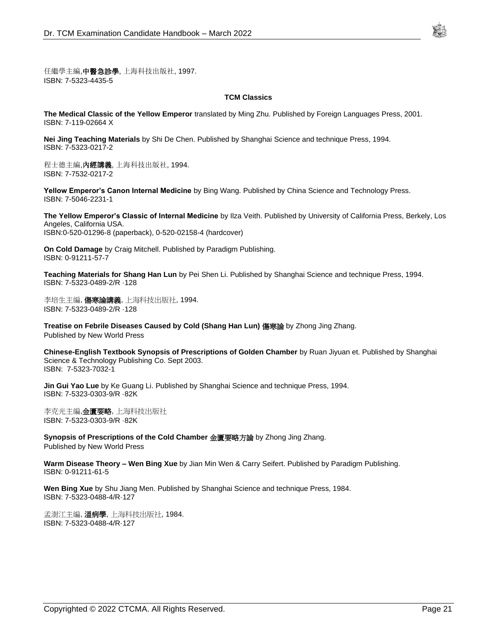

任繼學主編,中醫急診學, 上海科技出版社, 1997. ISBN: 7-5323-4435-5

#### **TCM Classics**

**The Medical Classic of the Yellow Emperor** translated by Ming Zhu. Published by Foreign Languages Press, 2001. ISBN: 7-119-02664 X

**Nei Jing Teaching Materials** by Shi De Chen. Published by Shanghai Science and technique Press, 1994. ISBN: 7-5323-0217-2

程士德主編, **內經講義**, 上海科技出版社, 1994. ISBN: 7-7532-0217-2

**Yellow Emperor's Canon Internal Medicine** by Bing Wang. Published by China Science and Technology Press. ISBN: 7-5046-2231-1

**The Yellow Emperor's Classic of Internal Medicine** by Ilza Veith. Published by University of California Press, Berkely, Los Angeles, California USA. ISBN:0-520-01296-8 (paperback), 0-520-02158-4 (hardcover)

**On Cold Damage** by Craig Mitchell. Published by Paradigm Publishing. ISBN: 0-91211-57-7

**Teaching Materials for Shang Han Lun** by Pei Shen Li. Published by Shanghai Science and technique Press, 1994. ISBN: 7-5323-0489-2/R ·128

李培生主編, 傷寒論講義, 上海科技出版社, 1994. ISBN: 7-5323-0489-2/R ·128

**Treatise on Febrile Diseases Caused by Cold (Shang Han Lun)** 傷寒論 by Zhong Jing Zhang. Published by New World Press

**Chinese-English Textbook Synopsis of Prescriptions of Golden Chamber** by Ruan Jiyuan et. Published by Shanghai Science & Technology Publishing Co. Sept 2003. ISBN: 7-5323-7032-1

**Jin Gui Yao Lue** by Ke Guang Li. Published by Shanghai Science and technique Press, 1994. ISBN: 7-5323-0303-9/R ·82K

李克光主編,金匱要略, 上海科技出版社 ISBN: 7-5323-0303-9/R ·82K

**Synopsis of Prescriptions of the Cold Chamber** 金匱要略方論 by Zhong Jing Zhang. Published by New World Press

**Warm Disease Theory – Wen Bing Xue** by Jian Min Wen & Carry Seifert. Published by Paradigm Publishing. ISBN: 0-91211-61-5

**Wen Bing Xue** by Shu Jiang Men. Published by Shanghai Science and technique Press, 1984. ISBN: 7-5323-0488-4/R·127

孟澍江主編, **溫病學**, 上海科技出版社, 1984. ISBN: 7-5323-0488-4/R·127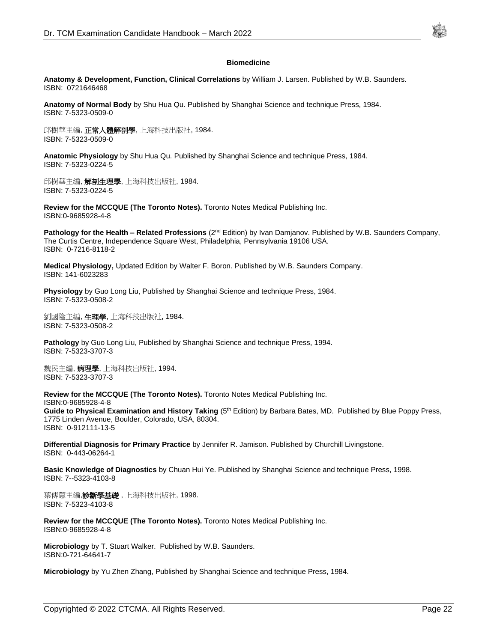

#### **Biomedicine**

**Anatomy & Development, Function, Clinical Correlations** by William J. Larsen. Published by W.B. Saunders. ISBN: 0721646468

**Anatomy of Normal Body** by Shu Hua Qu. Published by Shanghai Science and technique Press, 1984. ISBN: 7-5323-0509-0

邱樹華主編, **正常人體解剖學**, 上海科技出版社, 1984. ISBN: 7-5323-0509-0

**Anatomic Physiology** by Shu Hua Qu. Published by Shanghai Science and technique Press, 1984. ISBN: 7-5323-0224-5

邱樹華主編, 解剖生理學, 上海科技出版社, 1984. ISBN: 7-5323-0224-5

**Review for the MCCQUE (The Toronto Notes).** Toronto Notes Medical Publishing Inc. ISBN:0-9685928-4-8

**Pathology for the Health – Related Professions** (2nd Edition) by Ivan Damjanov. Published by W.B. Saunders Company, The Curtis Centre, Independence Square West, Philadelphia, Pennsylvania 19106 USA. ISBN: 0-7216-8118-2

**Medical Physiology,** Updated Edition by Walter F. Boron. Published by W.B. Saunders Company. ISBN: 141-6023283

**Physiology** by Guo Long Liu, Published by Shanghai Science and technique Press, 1984. ISBN: 7-5323-0508-2

劉國隆主編, **生理學**, 上海科技出版社, 1984. ISBN: 7-5323-0508-2

**Pathology** by Guo Long Liu, Published by Shanghai Science and technique Press, 1994. ISBN: 7-5323-3707-3

魏民主編, **病理學**, 上海科技出版社, 1994. ISBN: 7-5323-3707-3

**Review for the MCCQUE (The Toronto Notes).** Toronto Notes Medical Publishing Inc. ISBN:0-9685928-4-8 Guide to Physical Examination and History Taking (5<sup>th</sup> Edition) by Barbara Bates, MD. Published by Blue Poppy Press, 1775 Linden Avenue, Boulder, Colorado, USA, 80304. ISBN: 0-912111-13-5

**Differential Diagnosis for Primary Practice** by Jennifer R. Jamison. Published by Churchill Livingstone. ISBN: 0-443-06264-1

**Basic Knowledge of Diagnostics** by Chuan Hui Ye. Published by Shanghai Science and technique Press, 1998. ISBN: 7--5323-4103-8

葉傳蕙主編,**診斷學基礎** , 上海科技出版社, 1998. ISBN: 7-5323-4103-8

**Review for the MCCQUE (The Toronto Notes).** Toronto Notes Medical Publishing Inc. ISBN:0-9685928-4-8

**Microbiology** by T. Stuart Walker. Published by W.B. Saunders. ISBN:0-721-64641-7

**Microbiology** by Yu Zhen Zhang, Published by Shanghai Science and technique Press, 1984.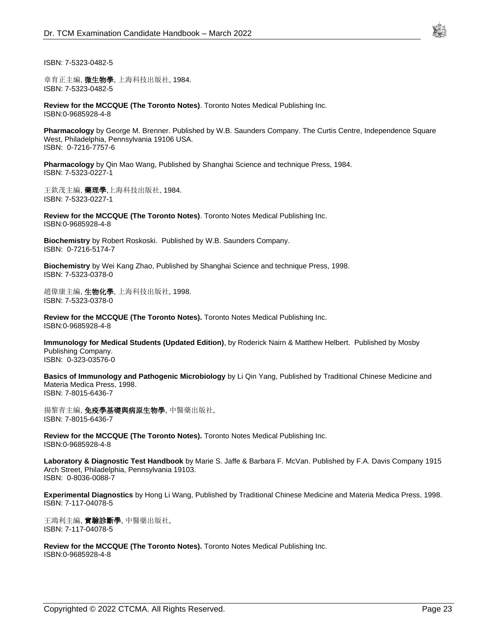

ISBN: 7-5323-0482-5

章育正主編, **微生物學**, 上海科技出版社, 1984. ISBN: 7-5323-0482-5

**Review for the MCCQUE (The Toronto Notes)**. Toronto Notes Medical Publishing Inc. ISBN:0-9685928-4-8

**Pharmacology** by George M. Brenner. Published by W.B. Saunders Company. The Curtis Centre, Independence Square West, Philadelphia, Pennsylvania 19106 USA. ISBN: 0-7216-7757-6

**Pharmacology** by Qin Mao Wang, Published by Shanghai Science and technique Press, 1984. ISBN: 7-5323-0227-1

王欽茂主編, **藥理學**,上海科技出版社, 1984. ISBN: 7-5323-0227-1

**Review for the MCCQUE (The Toronto Notes)**. Toronto Notes Medical Publishing Inc. ISBN:0-9685928-4-8

**Biochemistry** by Robert Roskoski. Published by W.B. Saunders Company. ISBN: 0-7216-5174-7

**Biochemistry** by Wei Kang Zhao, Published by Shanghai Science and technique Press, 1998. ISBN: 7-5323-0378-0

趙偉康主編, 生物化學, 上海科技出版社, 1998. ISBN: 7-5323-0378-0

**Review for the MCCQUE (The Toronto Notes).** Toronto Notes Medical Publishing Inc. ISBN:0-9685928-4-8

**Immunology for Medical Students (Updated Edition)**, by Roderick Nairn & Matthew Helbert. Published by Mosby Publishing Company. ISBN: 0-323-03576-0

**Basics of Immunology and Pathogenic Microbiology** by Li Qin Yang, Published by Traditional Chinese Medicine and Materia Medica Press, 1998. ISBN: 7-8015-6436-7

揚黎青主編, 免疫學基礎與病原生物學, 中醫藥出版社, ISBN: 7-8015-6436-7

**Review for the MCCQUE (The Toronto Notes).** Toronto Notes Medical Publishing Inc. ISBN:0-9685928-4-8

**Laboratory & Diagnostic Test Handbook** by Marie S. Jaffe & Barbara F. McVan. Published by F.A. Davis Company 1915 Arch Street, Philadelphia, Pennsylvania 19103. ISBN: 0-8036-0088-7

**Experimental Diagnostics** by Hong Li Wang, Published by Traditional Chinese Medicine and Materia Medica Press, 1998. ISBN: 7-117-04078-5

王鴻利主編, 實驗診斷學, 中醫藥出版社, ISBN: 7-117-04078-5

**Review for the MCCQUE (The Toronto Notes).** Toronto Notes Medical Publishing Inc. ISBN:0-9685928-4-8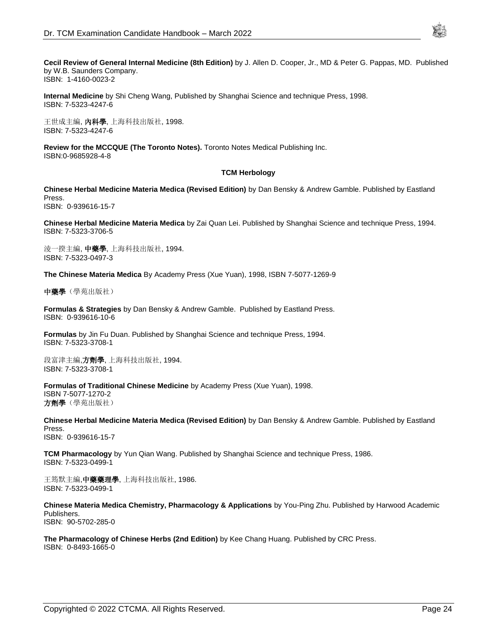

**Cecil Review of General Internal Medicine (8th Edition)** by J. Allen D. Cooper, Jr., MD & Peter G. Pappas, MD. Published by W.B. Saunders Company.

ISBN: 1-4160-0023-2

**Internal Medicine** by Shi Cheng Wang, Published by Shanghai Science and technique Press, 1998. ISBN: 7-5323-4247-6

王世成主編, 內科學, 上海科技出版社, 1998. ISBN: 7-5323-4247-6

**Review for the MCCQUE (The Toronto Notes).** Toronto Notes Medical Publishing Inc. ISBN:0-9685928-4-8

#### **TCM Herbology**

**Chinese Herbal Medicine Materia Medica (Revised Edition)** by Dan Bensky & Andrew Gamble. Published by Eastland Press.

ISBN: 0-939616-15-7

**Chinese Herbal Medicine Materia Medica** by Zai Quan Lei. Published by Shanghai Science and technique Press, 1994. ISBN: 7-5323-3706-5

淩一揆主編, 中藥學, 上海科技出版社, 1994. ISBN: 7-5323-0497-3

**The Chinese Materia Medica** By Academy Press (Xue Yuan), 1998, ISBN 7-5077-1269-9

中藥學(學苑出版社)

**Formulas & Strategies** by Dan Bensky & Andrew Gamble. Published by Eastland Press. ISBN: 0-939616-10-6

**Formulas** by Jin Fu Duan. Published by Shanghai Science and technique Press, 1994. ISBN: 7-5323-3708-1

段富津主編,方劑學, 上海科技出版社, 1994. ISBN: 7-5323-3708-1

**Formulas of Traditional Chinese Medicine** by Academy Press (Xue Yuan), 1998. ISBN 7-5077-1270-2 方劑學(學苑出版社)

**Chinese Herbal Medicine Materia Medica (Revised Edition)** by Dan Bensky & Andrew Gamble. Published by Eastland Press. ISBN: 0-939616-15-7

**TCM Pharmacology** by Yun Qian Wang. Published by Shanghai Science and technique Press, 1986. ISBN: 7-5323-0499-1

王筠默主編,中藥藥理學, 上海科技出版社, 1986. ISBN: 7-5323-0499-1

**Chinese Materia Medica Chemistry, Pharmacology & Applications** by You-Ping Zhu. Published by Harwood Academic Publishers. ISBN: 90-5702-285-0

**The Pharmacology of Chinese Herbs (2nd Edition)** by Kee Chang Huang. Published by CRC Press. ISBN: 0-8493-1665-0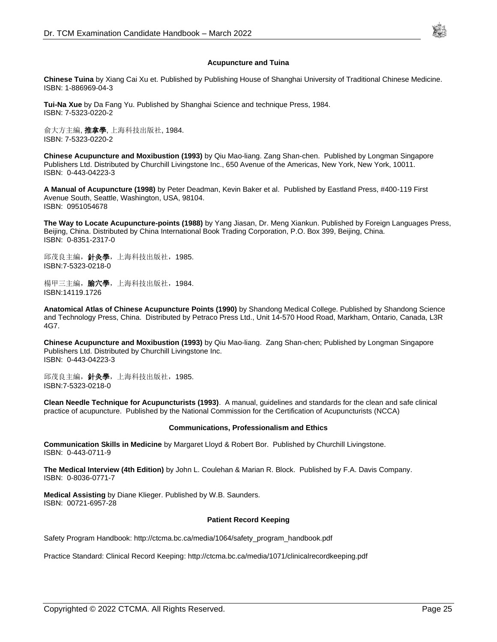

#### **Acupuncture and Tuina**

**Chinese Tuina** by Xiang Cai Xu et. Published by Publishing House of Shanghai University of Traditional Chinese Medicine. ISBN: 1-886969-04-3

**Tui-Na Xue** by Da Fang Yu. Published by Shanghai Science and technique Press, 1984. ISBN: 7-5323-0220-2

俞大方主編, **推拿學**, 上海科技出版社, 1984. ISBN: 7-5323-0220-2

**Chinese Acupuncture and Moxibustion (1993)** by Qiu Mao-liang. Zang Shan-chen. Published by Longman Singapore Publishers Ltd. Distributed by Churchill Livingstone Inc., 650 Avenue of the Americas, New York, New York, 10011. ISBN: 0-443-04223-3

**A Manual of Acupuncture (1998)** by Peter Deadman, Kevin Baker et al. Published by Eastland Press, #400-119 First Avenue South, Seattle, Washington, USA, 98104. ISBN: 0951054678

**The Way to Locate Acupuncture-points (1988)** by Yang Jiasan, Dr. Meng Xiankun. Published by Foreign Languages Press, Beijing, China. Distributed by China International Book Trading Corporation, P.O. Box 399, Beijing, China. ISBN: 0-8351-2317-0

邱茂良主編, 針灸學, 上海科技出版社, 1985. ISBN:7-5323-0218-0

楊甲三主編, **腧穴學**, 上海科技出版社, 1984. ISBN:14119.1726

**Anatomical Atlas of Chinese Acupuncture Points (1990)** by Shandong Medical College. Published by Shandong Science and Technology Press, China. Distributed by Petraco Press Ltd., Unit 14-570 Hood Road, Markham, Ontario, Canada, L3R 4G7.

**Chinese Acupuncture and Moxibustion (1993)** by Qiu Mao-liang. Zang Shan-chen; Published by Longman Singapore Publishers Ltd. Distributed by Churchill Livingstone Inc. ISBN: 0-443-04223-3

邱茂良主編, 針灸學, 上海科技出版社, 1985. ISBN:7-5323-0218-0

**Clean Needle Technique for Acupuncturists (1993)**. A manual, guidelines and standards for the clean and safe clinical practice of acupuncture. Published by the National Commission for the Certification of Acupuncturists (NCCA)

#### **Communications, Professionalism and Ethics**

**Communication Skills in Medicine** by Margaret Lloyd & Robert Bor. Published by Churchill Livingstone. ISBN: 0-443-0711-9

**The Medical Interview (4th Edition)** by John L. Coulehan & Marian R. Block. Published by F.A. Davis Company. ISBN: 0-8036-0771-7

**Medical Assisting** by Diane Klieger. Published by W.B. Saunders. ISBN: 00721-6957-28

#### **Patient Record Keeping**

Safety Program Handbook: http://ctcma.bc.ca/media/1064/safety\_program\_handbook.pdf

Practice Standard: Clinical Record Keeping: http://ctcma.bc.ca/media/1071/clinicalrecordkeeping.pdf